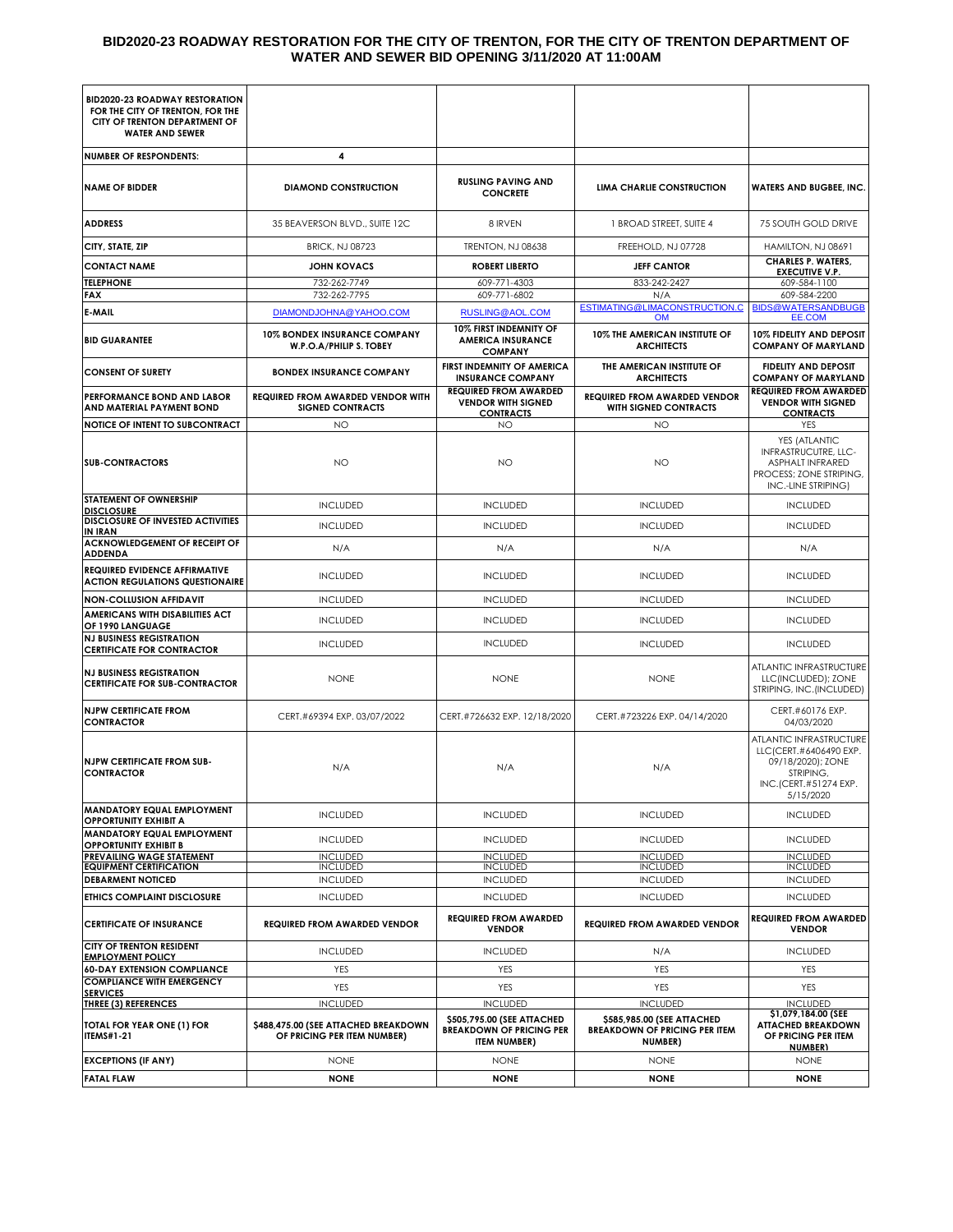#### **BID2020-23 ROADWAY RESTORATION FOR THE CITY OF TRENTON, FOR THE CITY OF TRENTON DEPARTMENT OF WATER AND SEWER BID OPENING 3/11/2020 AT 11:00AM**

| <b>BID2020-23 ROADWAY RESTORATION</b>                                                       |                                                                     |                                                                                      |                                                                               |                                                                                                                            |
|---------------------------------------------------------------------------------------------|---------------------------------------------------------------------|--------------------------------------------------------------------------------------|-------------------------------------------------------------------------------|----------------------------------------------------------------------------------------------------------------------------|
| FOR THE CITY OF TRENTON, FOR THE<br>CITY OF TRENTON DEPARTMENT OF<br><b>WATER AND SEWER</b> |                                                                     |                                                                                      |                                                                               |                                                                                                                            |
| <b>NUMBER OF RESPONDENTS:</b>                                                               | 4                                                                   |                                                                                      |                                                                               |                                                                                                                            |
| <b>NAME OF BIDDER</b>                                                                       | <b>DIAMOND CONSTRUCTION</b>                                         | <b>RUSLING PAVING AND</b><br><b>CONCRETE</b>                                         | LIMA CHARLIE CONSTRUCTION                                                     | <b>WATERS AND BUGBEE, INC.</b>                                                                                             |
| <b>ADDRESS</b>                                                                              | 35 BEAVERSON BLVD., SUITE 12C                                       | 8 IRVEN                                                                              | 1 BROAD STREET, SUITE 4                                                       | 75 SOUTH GOLD DRIVE                                                                                                        |
| CITY, STATE, ZIP                                                                            | <b>BRICK, NJ 08723</b>                                              | <b>TRENTON, NJ 08638</b>                                                             | FREEHOLD, NJ 07728                                                            | HAMILTON, NJ 08691                                                                                                         |
| <b>CONTACT NAME</b>                                                                         | <b>JOHN KOVACS</b>                                                  | <b>ROBERT LIBERTO</b>                                                                | <b>JEFF CANTOR</b>                                                            | <b>CHARLES P. WATERS,</b><br><b>EXECUTIVE V.P.</b>                                                                         |
| <b>TELEPHONE</b><br><b>FAX</b>                                                              | 732-262-7749<br>732-262-7795                                        | 609-771-4303<br>609-771-6802                                                         | 833-242-2427<br>N/A                                                           | 609-584-1100<br>609-584-2200                                                                                               |
| E-MAIL                                                                                      | DIAMONDJOHNA@YAHOO.COM                                              | RUSLING@AOL.COM                                                                      | ESTIMATING@LIMACONSTRUCTION.C<br><b>OM</b>                                    | <b>BIDS@WATERSANDBUGB</b><br>EE.COM                                                                                        |
| <b>BID GUARANTEE</b>                                                                        | 10% BONDEX INSURANCE COMPANY<br>W.P.O.A/PHILIP S. TOBEY             | 10% FIRST INDEMNITY OF<br><b>AMERICA INSURANCE</b><br><b>COMPANY</b>                 | 10% THE AMERICAN INSTITUTE OF<br><b>ARCHITECTS</b>                            | 10% FIDELITY AND DEPOSIT<br><b>COMPANY OF MARYLAND</b>                                                                     |
| <b>CONSENT OF SURETY</b>                                                                    | <b>BONDEX INSURANCE COMPANY</b>                                     | FIRST INDEMNITY OF AMERICA<br><b>INSURANCE COMPANY</b>                               | THE AMERICAN INSTITUTE OF<br><b>ARCHITECTS</b>                                | <b>FIDELITY AND DEPOSIT</b><br><b>COMPANY OF MARYLAND</b>                                                                  |
| <b>PERFORMANCE BOND AND LABOR</b><br>AND MATERIAL PAYMENT BOND                              | <b>REQUIRED FROM AWARDED VENDOR WITH</b><br><b>SIGNED CONTRACTS</b> | <b>REQUIRED FROM AWARDED</b><br><b>VENDOR WITH SIGNED</b><br><b>CONTRACTS</b>        | <b>REQUIRED FROM AWARDED VENDOR</b><br><b>WITH SIGNED CONTRACTS</b>           | <b>REQUIRED FROM AWARDED</b><br><b>VENDOR WITH SIGNED</b><br><b>CONTRACTS</b>                                              |
| <b>NOTICE OF INTENT TO SUBCONTRACT</b>                                                      | NO                                                                  | NO                                                                                   | NO                                                                            | YES                                                                                                                        |
| <b>SUB-CONTRACTORS</b>                                                                      | NO                                                                  | NO                                                                                   | <b>NO</b>                                                                     | YES (ATLANTIC<br>INFRASTRUCUTRE, LLC-<br>ASPHALT INFRARED<br>PROCESS; ZONE STRIPING,<br>INC.-LINE STRIPING)                |
| <b>STATEMENT OF OWNERSHIP</b><br><b>DISCLOSURE</b>                                          | <b>INCLUDED</b>                                                     | <b>INCLUDED</b>                                                                      | <b>INCLUDED</b>                                                               | <b>INCLUDED</b>                                                                                                            |
| <b>DISCLOSURE OF INVESTED ACTIVITIES</b><br>IN IRAN                                         | <b>INCLUDED</b>                                                     | <b>INCLUDED</b>                                                                      | <b>INCLUDED</b>                                                               | <b>INCLUDED</b>                                                                                                            |
| ACKNOWLEDGEMENT OF RECEIPT OF<br><b>ADDENDA</b>                                             | N/A                                                                 | N/A                                                                                  | N/A                                                                           | N/A                                                                                                                        |
| <b>REQUIRED EVIDENCE AFFIRMATIVE</b><br><b>ACTION REGULATIONS QUESTIONAIRE</b>              | <b>INCLUDED</b>                                                     | <b>INCLUDED</b>                                                                      | <b>INCLUDED</b>                                                               | <b>INCLUDED</b>                                                                                                            |
| <b>NON-COLLUSION AFFIDAVIT</b>                                                              | <b>INCLUDED</b>                                                     | <b>INCLUDED</b>                                                                      | <b>INCLUDED</b>                                                               | <b>INCLUDED</b>                                                                                                            |
| AMERICANS WITH DISABILITIES ACT<br>OF 1990 LANGUAGE                                         | <b>INCLUDED</b>                                                     | <b>INCLUDED</b>                                                                      | <b>INCLUDED</b>                                                               | <b>INCLUDED</b>                                                                                                            |
| <b>NJ BUSINESS REGISTRATION</b><br><b>CERTIFICATE FOR CONTRACTOR</b>                        | <b>INCLUDED</b>                                                     | <b>INCLUDED</b>                                                                      | <b>INCLUDED</b>                                                               | <b>INCLUDED</b>                                                                                                            |
| <b>NJ BUSINESS REGISTRATION</b><br><b>CERTIFICATE FOR SUB-CONTRACTOR</b>                    | <b>NONE</b>                                                         | <b>NONE</b>                                                                          | <b>NONE</b>                                                                   | ATLANTIC INFRASTRUCTURE<br>LLC(INCLUDED); ZONE<br>STRIPING, INC. (INCLUDED)                                                |
| <b>NJPW CERTIFICATE FROM</b><br><b>CONTRACTOR</b>                                           | CERT.#69394 EXP. 03/07/2022                                         | CERT.#726632 EXP. 12/18/2020                                                         | CERT.#723226 EXP. 04/14/2020                                                  | CERT.#60176 EXP.<br>04/03/2020                                                                                             |
| <b>NJPW CERTIFICATE FROM SUB-</b><br><b>CONTRACTOR</b>                                      | N/A                                                                 | N/A                                                                                  | N/A                                                                           | ATLANTIC INFRASTRUCTURE<br>LLC (CERT.#6406490 EXP.<br>09/18/2020); ZONE<br>STRIPING,<br>INC.(CERT.#51274 EXP.<br>5/15/2020 |
| <b>MANDATORY EQUAL EMPLOYMENT</b><br><b>OPPORTUNITY EXHIBIT A</b>                           | <b>INCLUDED</b>                                                     | <b>INCLUDED</b>                                                                      | <b>INCLUDED</b>                                                               | <b>INCLUDED</b>                                                                                                            |
| <b>MANDATORY EQUAL EMPLOYMENT</b><br><b>OPPORTUNITY EXHIBIT B</b>                           | <b>INCLUDED</b>                                                     | <b>INCLUDED</b>                                                                      | <b>INCLUDED</b>                                                               | <b>INCLUDED</b>                                                                                                            |
| <b>PREVAILING WAGE STATEMENT</b><br><b>EQUIPMENT CERTIFICATION</b>                          | <b>INCLUDED</b><br><b>INCLUDED</b>                                  | <b>INCLUDED</b><br><b>INCLUDED</b>                                                   | <b>INCLUDED</b><br><b>INCLUDED</b>                                            | <b>INCLUDED</b><br><b>INCLUDED</b>                                                                                         |
| <b>DEBARMENT NOTICED</b>                                                                    | <b>INCLUDED</b>                                                     | <b>INCLUDED</b>                                                                      | <b>INCLUDED</b>                                                               | <b>INCLUDED</b>                                                                                                            |
| <b>ETHICS COMPLAINT DISCLOSURE</b>                                                          | <b>INCLUDED</b>                                                     | <b>INCLUDED</b>                                                                      | <b>INCLUDED</b>                                                               | <b>INCLUDED</b>                                                                                                            |
| <b>CERTIFICATE OF INSURANCE</b>                                                             | <b>REQUIRED FROM AWARDED VENDOR</b>                                 | <b>REQUIRED FROM AWARDED</b><br><b>VENDOR</b>                                        | <b>REQUIRED FROM AWARDED VENDOR</b>                                           | <b>REQUIRED FROM AWARDED</b><br><b>VENDOR</b>                                                                              |
| <b>CITY OF TRENTON RESIDENT</b><br><b>EMPLOYMENT POLICY</b>                                 | <b>INCLUDED</b>                                                     | <b>INCLUDED</b>                                                                      | N/A                                                                           | <b>INCLUDED</b>                                                                                                            |
| <b>60-DAY EXTENSION COMPLIANCE</b>                                                          | YES                                                                 | YES                                                                                  | YES                                                                           | <b>YES</b>                                                                                                                 |
| <b>COMPLIANCE WITH EMERGENCY</b><br><b>SERVICES</b>                                         | YES                                                                 | YES                                                                                  | YES                                                                           | YES                                                                                                                        |
| <b>THREE (3) REFERENCES</b>                                                                 | <b>INCLUDED</b>                                                     | <b>INCLUDED</b>                                                                      | <b>INCLUDED</b>                                                               | <b>INCLUDED</b><br>\$1,079,184.00 (SEE                                                                                     |
| TOTAL FOR YEAR ONE (1) FOR<br><b>ITEMS#1-21</b>                                             | \$488,475.00 (SEE ATTACHED BREAKDOWN<br>OF PRICING PER ITEM NUMBER) | \$505,795.00 (SEE ATTACHED<br><b>BREAKDOWN OF PRICING PER</b><br><b>ITEM NUMBER)</b> | \$585,985.00 (SEE ATTACHED<br><b>BREAKDOWN OF PRICING PER ITEM</b><br>NUMBER) | <b>ATTACHED BREAKDOWN</b><br>OF PRICING PER ITEM<br>NUMBER)                                                                |
| <b>EXCEPTIONS (IF ANY)</b>                                                                  | <b>NONE</b>                                                         | <b>NONE</b>                                                                          | <b>NONE</b>                                                                   | <b>NONE</b>                                                                                                                |
| <b>FATAL FLAW</b>                                                                           | <b>NONE</b>                                                         | <b>NONE</b>                                                                          | <b>NONE</b>                                                                   | <b>NONE</b>                                                                                                                |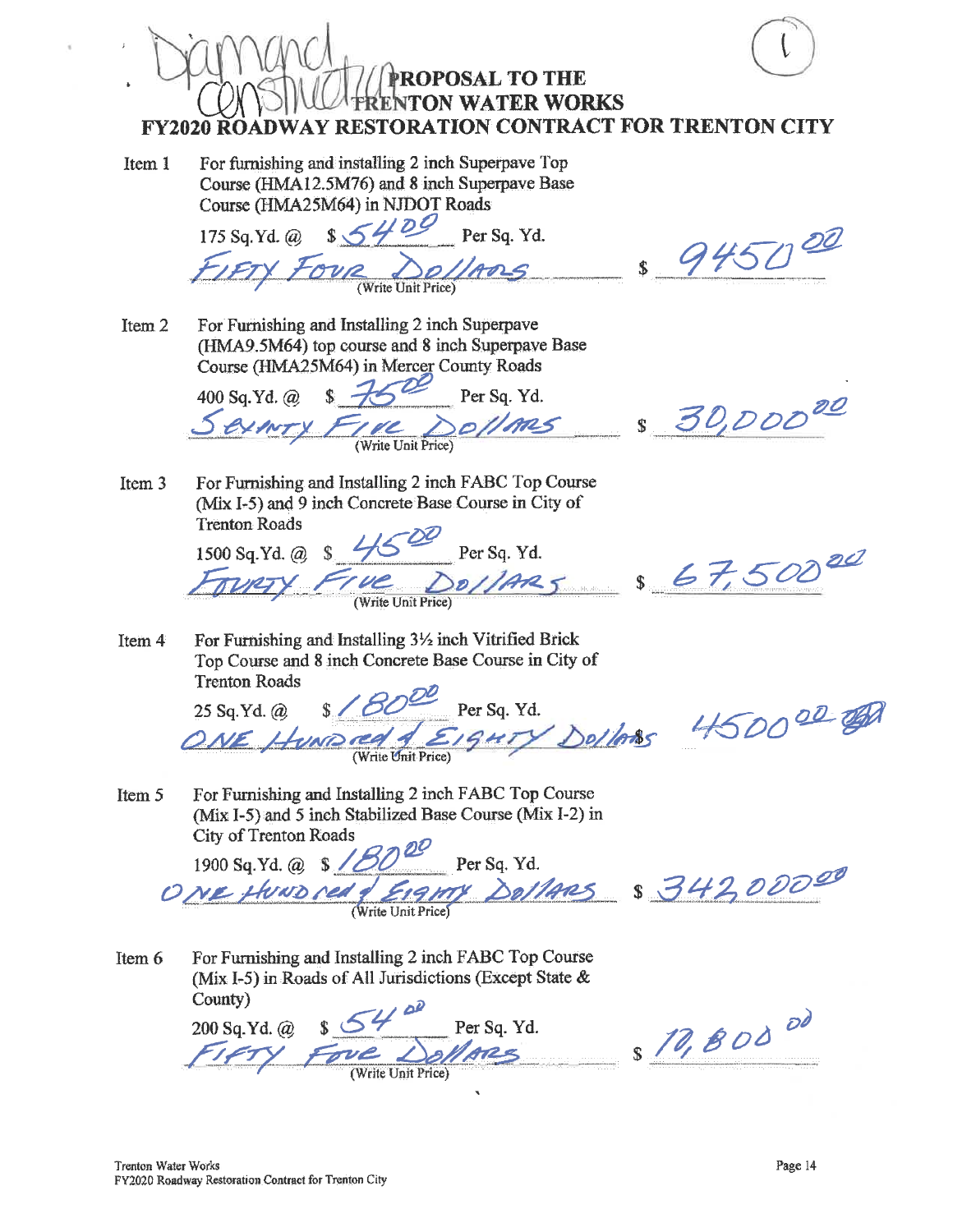**PROPOSAL TO THE ENTON WATER WORKS FY2020 ROADWAY RESTORATION CONTRACT FOR TRENTON CITY** For furnishing and installing 2 inch Superpave Top Item 1 Course (HMA12.5M76) and 8 inch Superpaye Base Course (HMA25M64) in NJDOT Roads 175 Sq. Yd. @ \$5400 Per Sq. Yd. 945000  $\overline{\text{Fov}_{\text{Write Unit Price}}}$ For Furnishing and Installing 2 inch Superpave Item<sub>2</sub> (HMA9.5M64) top course and 8 inch Superpave Base Course (HMA25M64) in Mercer County Roads  $87500$ 400 Sq.Yd. @ Per Sq. Yd.  $-8, 30,000^{20}$ sollms INTY FIRE I For Furnishing and Installing 2 inch FABC Top Course Item<sub>3</sub> (Mix I-5) and 9 inch Concrete Base Course in City of **Trenton Roads**  $\frac{11500}{100}$  Per Sq. Yd.<br>Tue Do//Ar25 \$67,500 1500 Sq.Yd. @ For Furnishing and Installing 3½ inch Vitrified Brick Item 4

Top Course and 8 inch Concrete Base Course in City of **Trenton Roads** 

 $\frac{1}{2}$  /  $\frac{1}{2}$  Per Sq. Yd. ONE HUMPIED SEIGHTY DOIDES 450000 OF 25 Sq.Yd. @

For Furnishing and Installing 2 inch FABC Top Course Item 5 (Mix I-5) and 5 inch Stabilized Base Course (Mix I-2) in City of Trenton Roads

1900 Sq. Yd. @ \$ 18000 Per Sq. Yd.<br>O NE thurs ned of Eighty Dollars \$ 342,00000

Item 6 For Furnishing and Installing 2 inch FABC Top Course (Mix I-5) in Roads of All Jurisdictions (Except State & County)

@ \$54 Per Sq. Yd.<br>Fove Dollars 200 Sq.Yd. @

\$ 10,800 00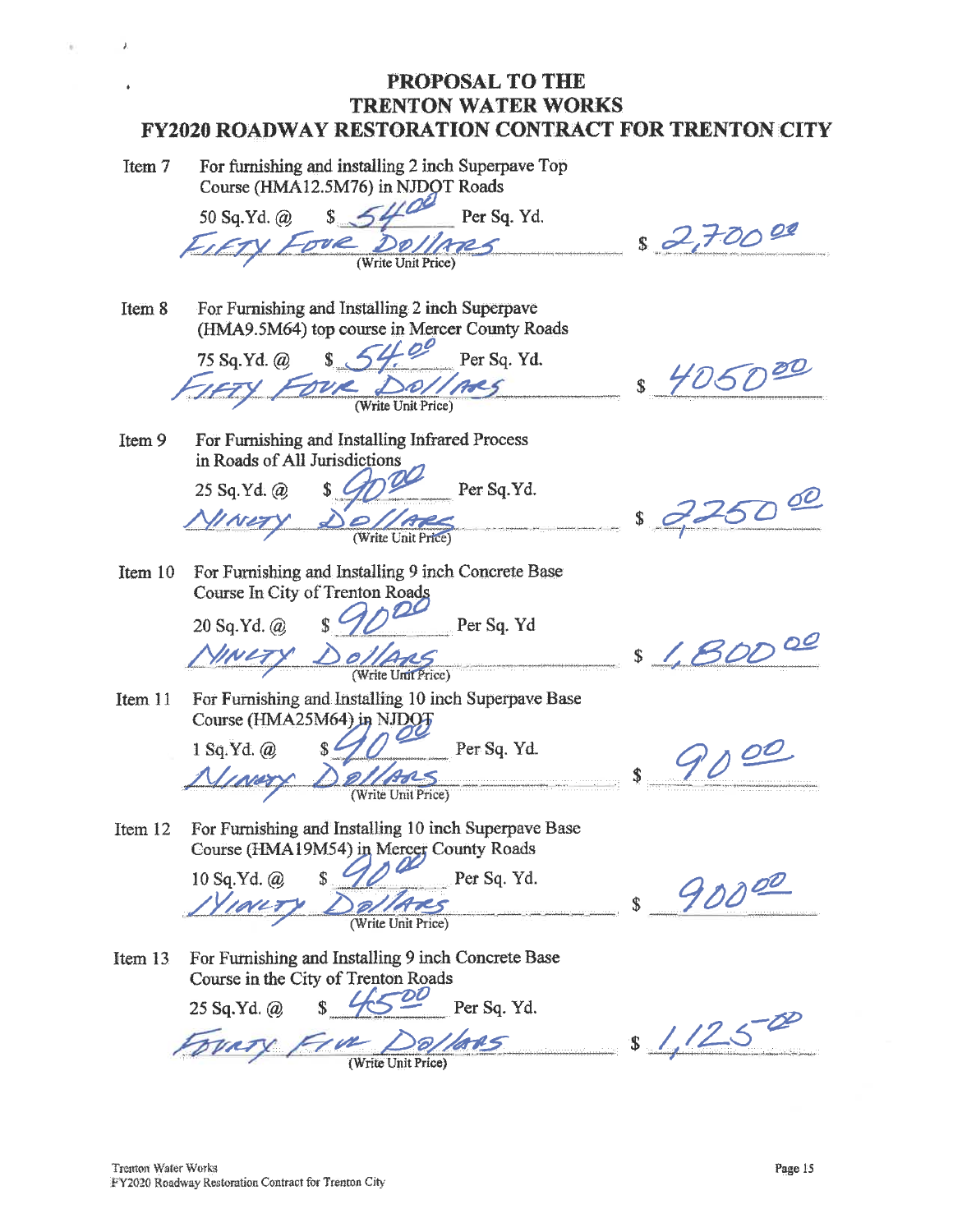| Item 7 | For furnishing and installing 2 inch Superpave Top |
|--------|----------------------------------------------------|
|        | Course (HMA12.5M76) in NJDOT Roads                 |

 $\lambda$ 

Item 9

50 Sq.Yd. @ Per Sq. Yd. Write Unit Price?

For Furnishing and Installing 2 inch Superpave Item 8 (HMA9.5M64) top course in Mercer County Roads

 $\frac{1}{2}$  54.00 Per Sq. Yd. 75 Sq.Yd. @ OUR DO//ARS

For Furnishing and Installing Infrared Process

in Roads of All Jurisdictions

25 Sq.Yd. @

 $8.27000$ 

 $$4050^{20}$ 

- Per Sq.Yd.  $2500$
- Item 10 For Furnishing and Installing 9 inch Concrete Base Course In City of Trenton Roads

Per Sq. Yd 20 Sq.Yd. @  $00/4$ NLTY

(Write Unit Price)

Item 11 For Furnishing and Installing 10 inch Superpave Base Course (HMA25M64) in NJDOT

1 Sq.Yd. @ Per Sq. Yd. INED (Write Unit Price)

\$ 1,80000

 $4100$ \$

Item 12 For Furnishing and Installing 10 inch Superpave Base Course (HMA19M54) in Mercer County Roads

10 Sq.Yd. @ Per Sq. Yd. Write Unit Price)

 $90000$  $\overline{\mathbb{S}}$ 

For Furnishing and Installing 9 inch Concrete Base Item 13 Course in the City of Trenton Roads

25 Sq.Yd. @ Per Sq. Yd. Tue Dallas over

 $1/250$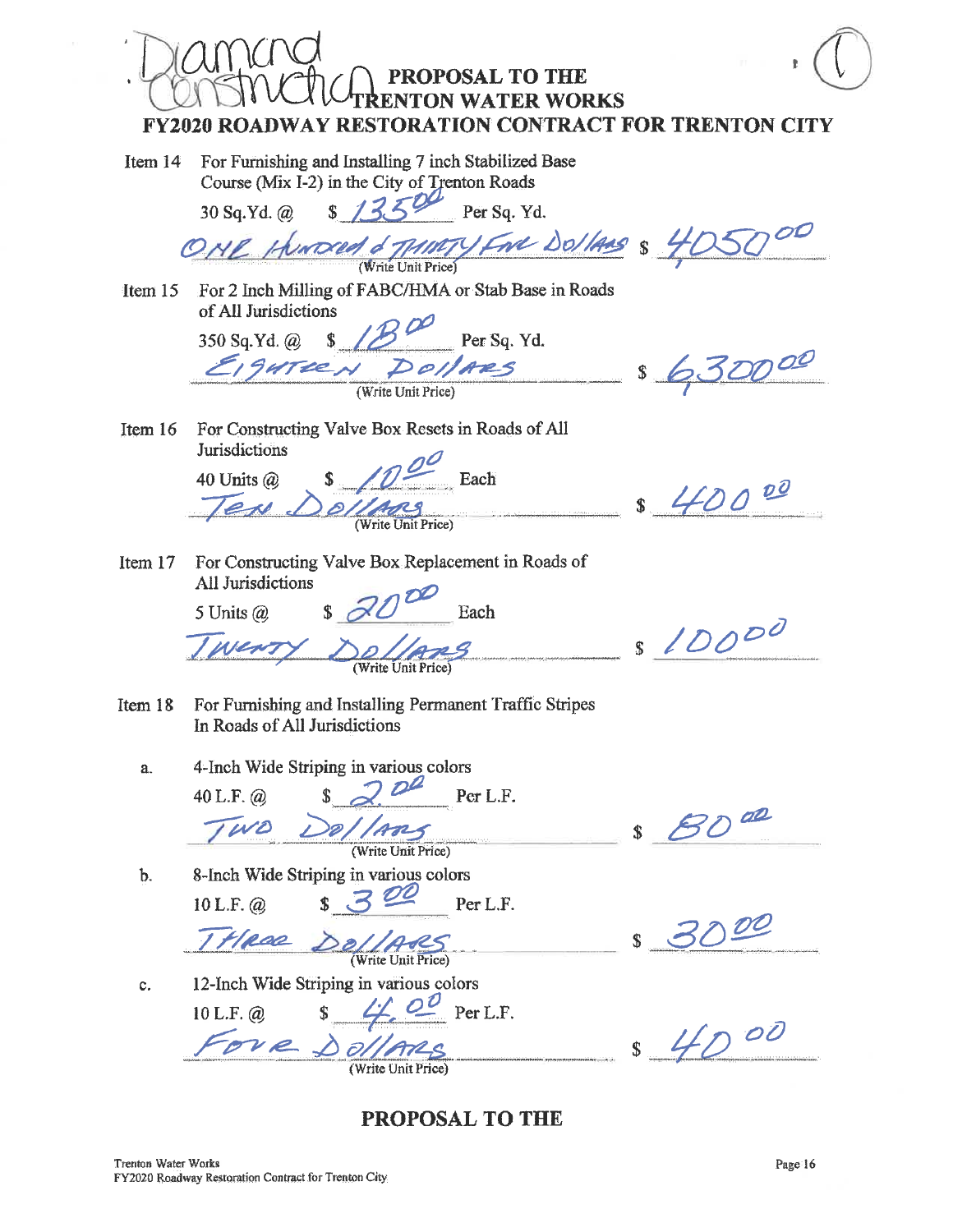PROPOSAL TO THE RENTON WATER WORKS **FY2020 ROADWAY RESTORATION CONTRACT FOR TRENTON CITY** For Furnishing and Installing 7 inch Stabilized Base Item 14 Course (Mix I-2) in the City of Trenton Roads  $1350$  Per Sq. Yd. 30 Sq.Yd. @ ONE Hunded & MINTY Five Dollars & 4C For 2 Inch Milling of FABC/HMA or Stab Base in Roads Item  $15$ of All Jurisdictions SO Sq. Yd. @ \$ 10 Per Sq. Per Sq. Yd. 350 Sq.Yd. @ \$ 630000 (Write Unit Price) For Constructing Valve Box Resets in Roads of All Item 16 **Jurisdictions** 40 Units  $(a)$ Each \$ 40000 en (Write Unit Price) For Constructing Valve Box Replacement in Roads of Item 17 All Jurisdictions 5 Units  $(a)$ Each  $$10000$ Mrite Unit Price uren For Furnishing and Installing Permanent Traffic Stripes Item 18 In Roads of All Jurisdictions 4-Inch Wide Striping in various colors  $\overline{a}$ . Per L.F. 40 L.F.  $\omega$ æ らの WO  $\mathbf{\hat{s}}$ (Write Unit Price)  $<sub>b</sub>$ .</sub> 8-Inch Wide Striping in various colors  $320$ Per L.F. 10 L.F. @ 00 THROD De Write Unit Price) 12-Inch Wide Striping in various colors  $\mathbf{c}.$  $\frac{1}{2}$   $\frac{1}{2}$  Per L.F. 10 L.F.  $\omega$  $$400$ Tove Dollars

**PROPOSAL TO THE**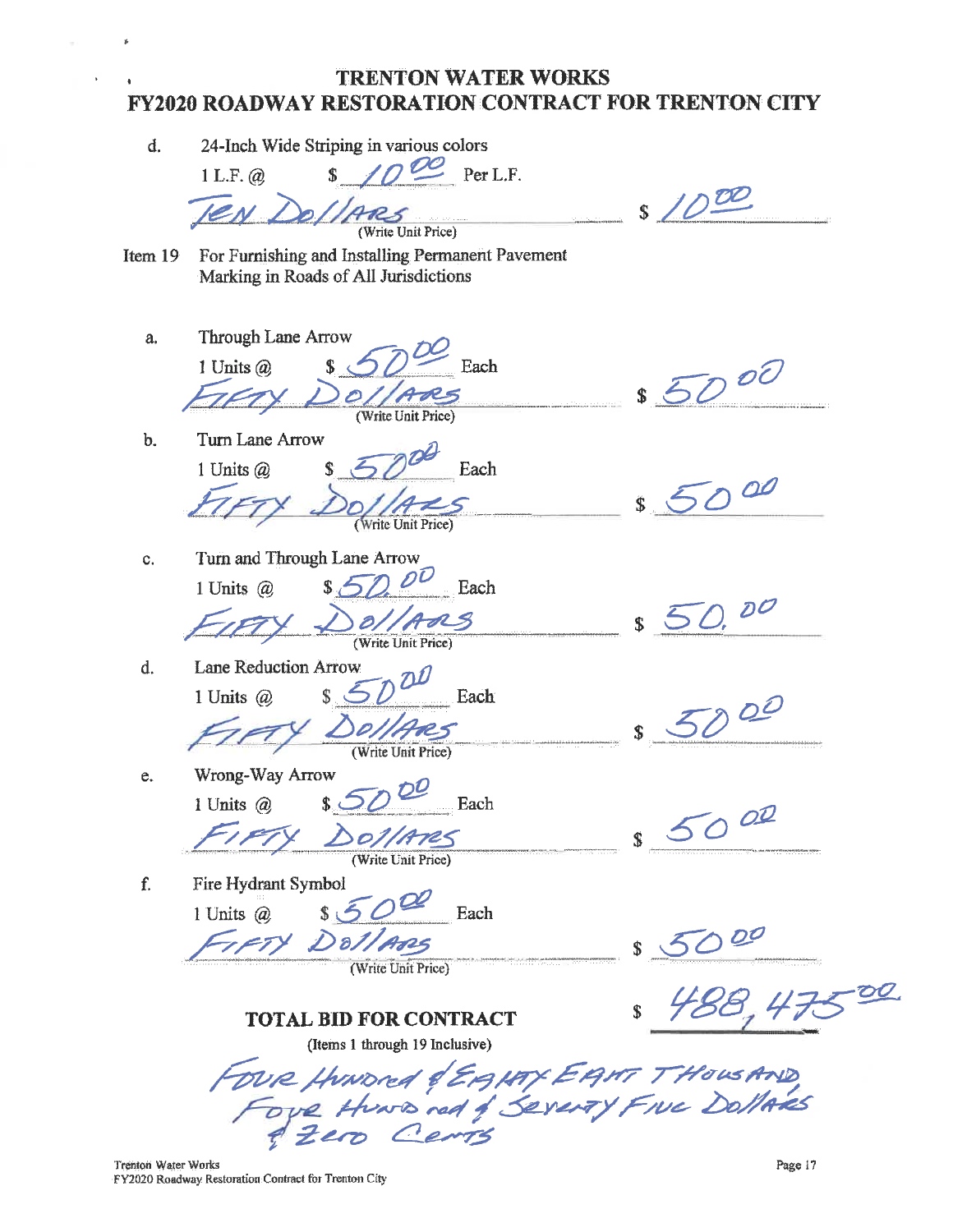d. 24-Inch Wide Striping in various colors  $\overline{D}$  Per L.F.  $1 L.F. @.$  $s$  /000 (Write Unit Price) Item  $19$ For Furnishing and Installing Permanent Pavement Marking in Roads of All Jurisdictions Through Lane Arrow a.  $$500$ Each 1 Units @ (Write Unit Price) Turn Lane Arrow  $<sub>b</sub>$ </sub> Each 1 Units @  $$5000$ Write Unit Price) Turn and Through Lane Arrow c.  $8500$ Each 1 Units @ DO  $\partial /$ RS (Write Unit Price) **Lane Reduction Arrow** d.  $500$  $\mathbb{S}$ Each 1 Units  $\omega$  $Q<sup>2</sup>$ (Write Unit Price) Wrong-Way Arrow e. 1 Units @ Each 5000 Do//A725 Fire Hydrant Symbol f.  $s\bar{5}$ Each 1 Units  $(a)$ TFTY DOLLARS (Write Unit Price) OO. **TOTAL BID FOR CONTRACT** (Items 1 through 19 Inclusive) FOUR HUNDRE & EAMY EANT THOUSAND

Trenton Water Works FY2020 Roadway Restoration Contract for Trenton City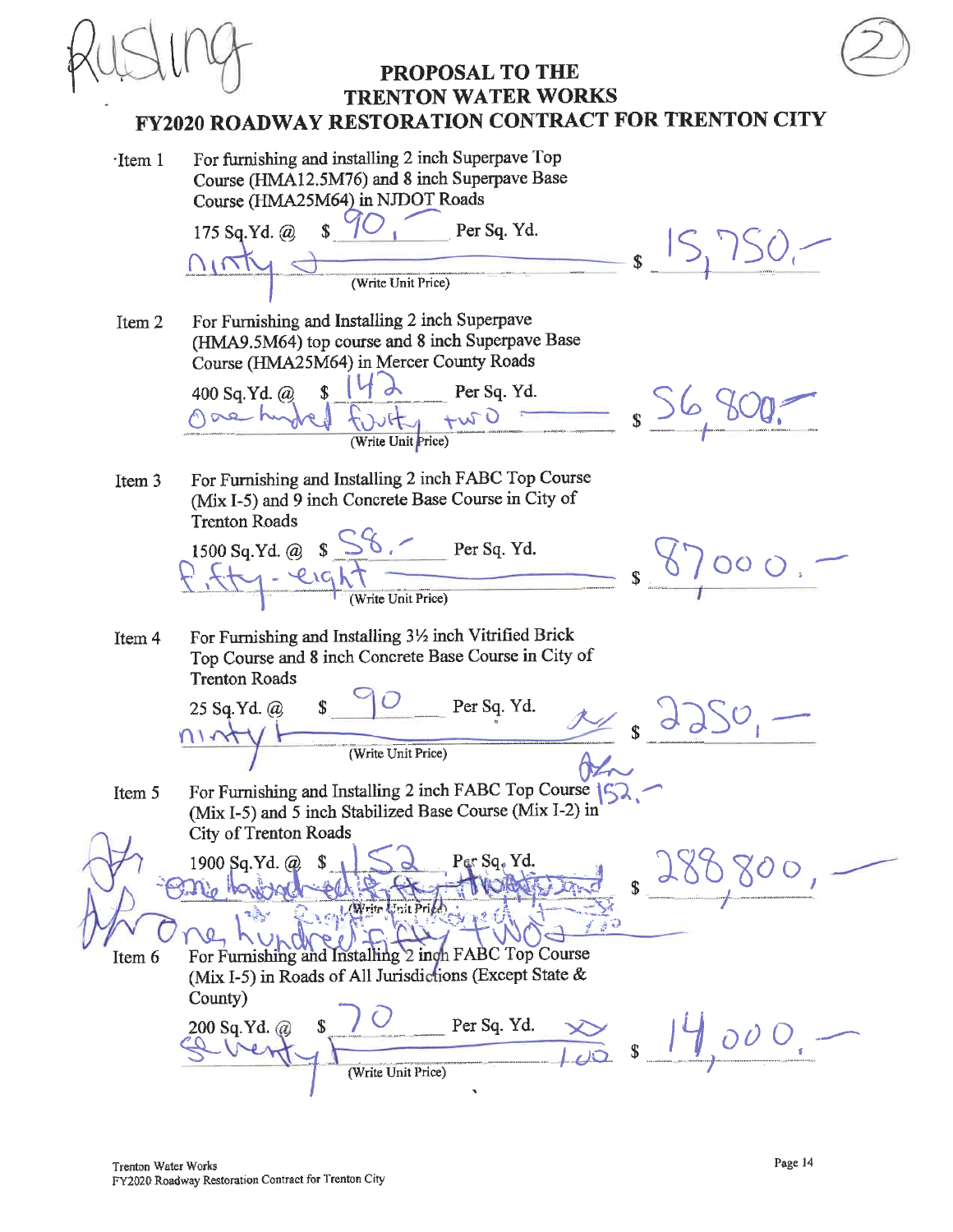For furnishing and installing 2 inch Superpave Top  $\cdot$ Item 1 Course (HMA12.5M76) and 8 inch Superpave Base Course (HMA25M64) in NJDOT Roads 175 Sq.Yd. @  $\mathbb{S}$ Per Sq. Yd.  $S_1$  15, 1250,- $\sqrt{N}$ (Write Unit Price) For Furnishing and Installing 2 inch Superpave Item 2 (HMA9.5M64) top course and 8 inch Superpave Base Course (HMA25M64) in Mercer County Roads Settlebity two s S6 800. 400 Sq.Yd. @ gae hy For Furnishing and Installing 2 inch FABC Top Course Item<sub>3</sub> (Mix I-5) and 9 inch Concrete Base Course in City of **Trenton Roads** 1500 Sq. Yd. @  $S\frac{SS6.7}{Per Sq. Yd.}$  <br>  $S\frac{S6.7}{S} = \frac{Sf}{S}$ For Furnishing and Installing 31/2 inch Vitrified Brick Item 4 Top Course and 8 inch Concrete Base Course in City of **Trenton Roads** 25 Sq. Yd. @ \$ Per Sq. Yd.<br>  $\frac{11 \sqrt{y} + 11 \sqrt{y}}{(20 \sqrt{y} + 11 \sqrt{y}) + (20 \sqrt{y}) \sqrt{y}}$ Ha For Furnishing and Installing 2 inch FABC Top Course (5) Item 5 (Mix I-5) and 5 inch Stabilized Base Course (Mix I-2) in City of Trenton Roads 1900 Sq.Yd. @ 280,800, Per Sq. Yd. no harroche the Neul Write Crit Price ki ve th **O** hundreist For Furnishing and Installing 2 inch FABC Top Course Item 6 (Mix I-5) in Roads of All Jurisdictions (Except State & County)  $\frac{\text{Per Sq. Yd.}}{\sqrt{5}}$  s  $\frac{14}{100}$  o 0 0. 200 Sq.Yd. @ (Write Unit Price)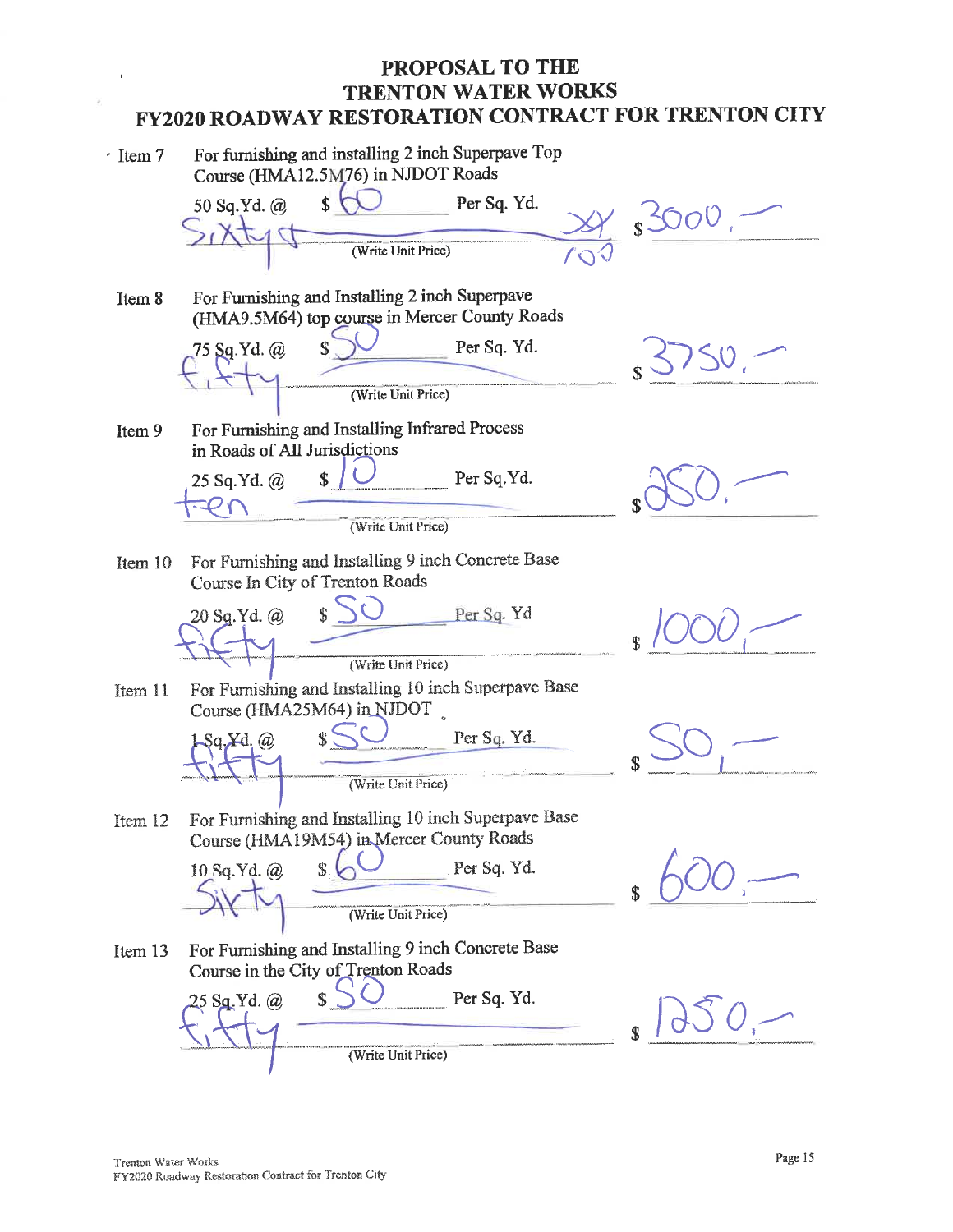For furnishing and installing 2 inch Superpave Top  $\cdot$  Item 7 Course (HMA12.5M76) in NJDOT Roads Per Sq. Yd. 50 Sq.Yd. @ (Write Unit Price) For Furnishing and Installing 2 inch Superpave Item 8 (HMA9.5M64) top course in Mercer County Roads Per Sq. Yd. 75 Sq.Yd. @ (Write Unit Price) For Furnishing and Installing Infrared Process Ttem 9 in Roads of All Jurisdictions 25 Sq.Yd. @  $\mathbf{r}$ Per Sq.Yd. (Write Unit Price) For Furnishing and Installing 9 inch Concrete Base Item 10 Course In City of Trenton Roads Per Sq. Yd 20 Sg.Yd. @ (Write Unit Price) For Furnishing and Installing 10 inch Superpave Base Item 11 Course (HMA25M64) in NJDOT Per Sq. Yd. Zd. 62 (Write Unit Price) For Furnishing and Installing 10 inch Superpave Base Item 12 Course (HMA19M54) in Mercer County Roads Per Sq. Yd. 10 Sq.Yd. @ (Write Unit Price) For Furnishing and Installing 9 inch Concrete Base Item 13 Course in the City of Trenton Roads Per Sq. Yd.  $Sa.Yd. @.$ (Write Unit Price)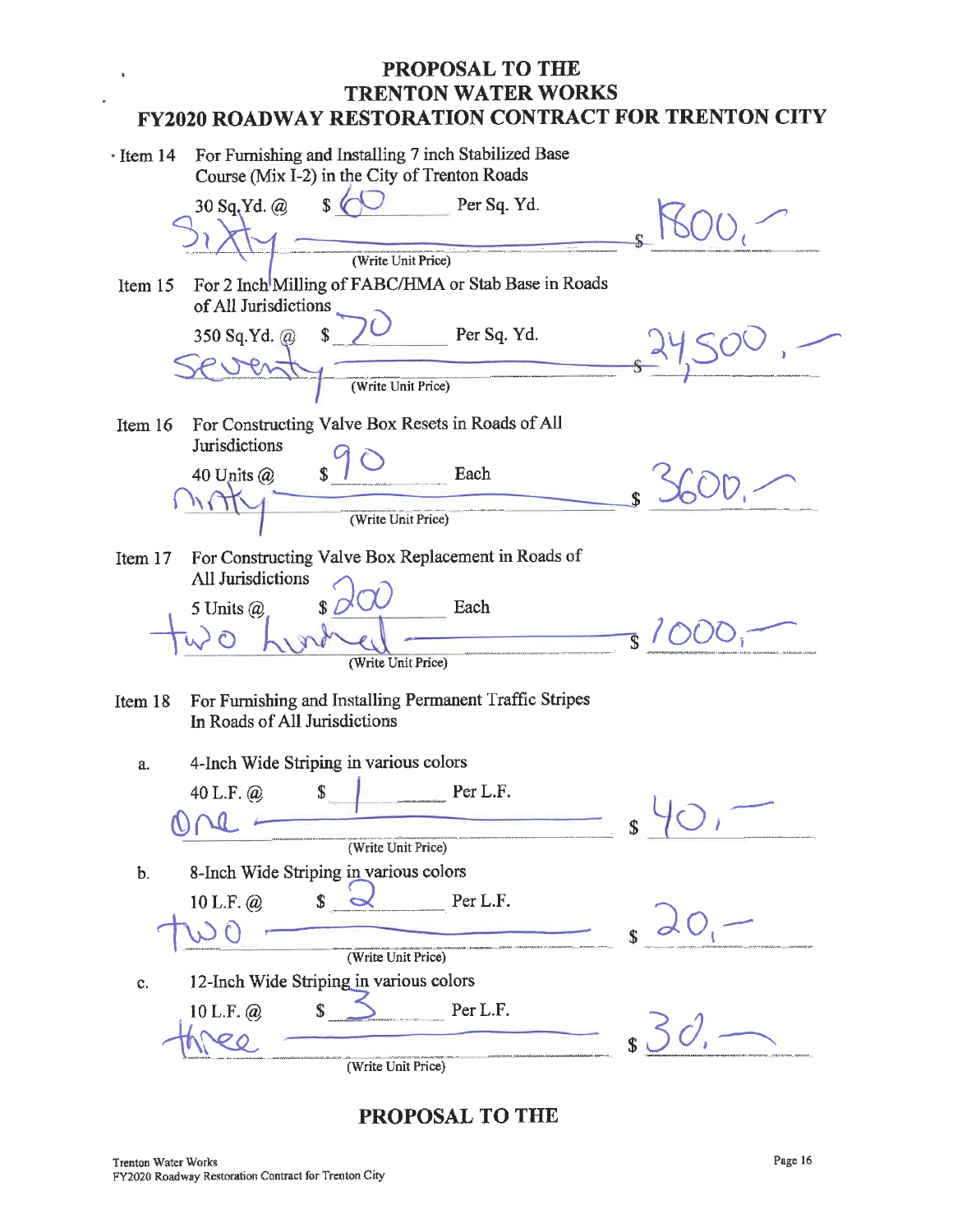| $\cdot$ Item 14 | For Furnishing and Installing 7 inch Stabilized Base<br>Course (Mix I-2) in the City of Trenton Roads           |  |
|-----------------|-----------------------------------------------------------------------------------------------------------------|--|
|                 | $\overline{\mathbf{s}}$<br>30 Sq.Yd. @<br>Per Sq. Yd.                                                           |  |
| Item $15$       | (Write Unit Price)<br>For 2 Inch <sup>I</sup> Milling of FABC/HMA or Stab Base in Roads<br>of All Jurisdictions |  |
|                 | Per Sq. Yd.<br>350 Sq.Yd. @                                                                                     |  |
|                 | (Write Unit Price)                                                                                              |  |
| Item 16         | For Constructing Valve Box Resets in Roads of All<br>Jurisdictions                                              |  |
|                 | Each<br>40 Units $(a)$<br>\$                                                                                    |  |
| Item 17         | (Write Unit Price)<br>For Constructing Valve Box Replacement in Roads of                                        |  |
|                 | All Jurisdictions<br>Each<br>5 Units $(a)$                                                                      |  |
|                 | (Write Unit Price)                                                                                              |  |
| Item 18         | For Furnishing and Installing Permanent Traffic Stripes<br>In Roads of All Jurisdictions                        |  |
| a.              | 4-Inch Wide Striping in various colors                                                                          |  |
|                 | Per L.F.<br>40 L.F. $\omega$                                                                                    |  |
| $b$ .           | (Write Unit Price)<br>8-Inch Wide Striping in various colors                                                    |  |
|                 | Per L.F.<br>10 L.F. $@$                                                                                         |  |
|                 | (Write Unit Price)                                                                                              |  |
| c.              | 12-Inch Wide Striping in various colors<br>\$<br>Per L.F.<br>10 L.F. @                                          |  |
|                 | (Write Unit Price)                                                                                              |  |

PROPOSAL TO THE

 $\ddot{\bullet}$ 

 $\overline{a}$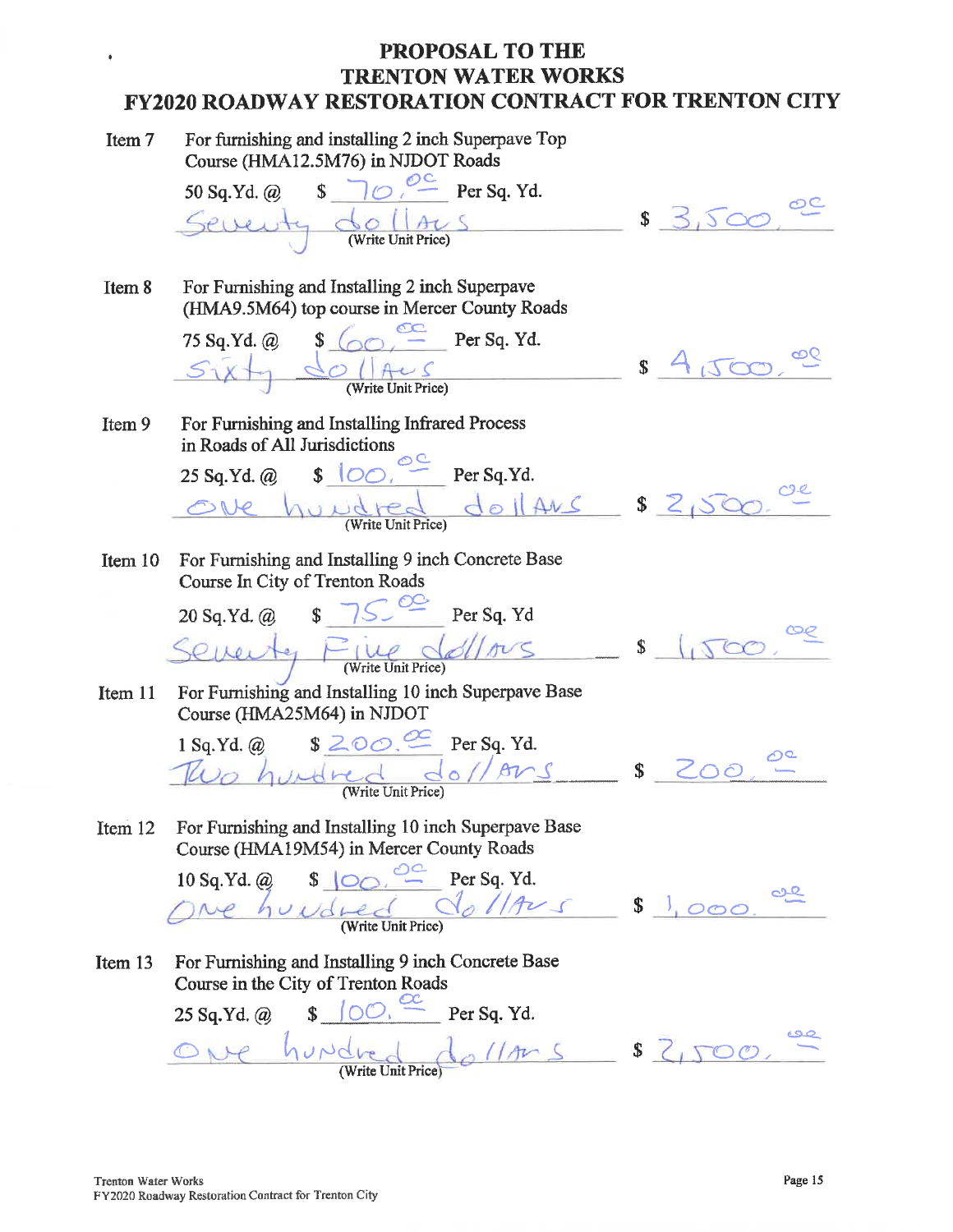| Item 7    | For furnishing and installing 2 inch Superpave Top<br>Course (HMA12.5M76) in NJDOT Roads                                                                                                                                                                                                                                                             |               |
|-----------|------------------------------------------------------------------------------------------------------------------------------------------------------------------------------------------------------------------------------------------------------------------------------------------------------------------------------------------------------|---------------|
|           | $\sqrt{62}$ Per Sq. Yd.<br>50 Sq.Yd. @                                                                                                                                                                                                                                                                                                               |               |
|           | (Write Unit Price)                                                                                                                                                                                                                                                                                                                                   | 3.500<br>\$   |
| Item 8    | For Furnishing and Installing 2 inch Superpave<br>(HMA9.5M64) top course in Mercer County Roads                                                                                                                                                                                                                                                      |               |
|           | Per Sq. Yd.<br>$75$ Sq.Yd. @ \$ (                                                                                                                                                                                                                                                                                                                    |               |
|           | $\bigcirc$ $\bigcap_{(\text{Write Unit Price})}$                                                                                                                                                                                                                                                                                                     | \$            |
| Item 9    | For Furnishing and Installing Infrared Process<br>in Roads of All Jurisdictions                                                                                                                                                                                                                                                                      |               |
|           | $\big\ $ $\big\ $ $\big\ $ $\big\ $ $\big\ $ $\big\ $ $\big\ $ $\big\ $ $\big\ $ $\big\ $ $\big\ $ $\big\ $ $\big\ $ $\big\ $ $\big\ $ $\big\ $ $\big\ $ $\big\ $ $\big\ $ $\big\ $ $\big\ $ $\big\ $ $\big\ $ $\big\ $ $\big\ $ $\big\ $ $\big\ $ $\big\ $ $\big\ $ $\big\ $ $\big\ $ $\big\$<br>25 Sq.Yd. @                                        |               |
|           | $d$ oll Ans<br>indres<br>ONe<br>(Write Unit Price)                                                                                                                                                                                                                                                                                                   | \$            |
| Item 10   | For Furnishing and Installing 9 inch Concrete Base<br>Course In City of Trenton Roads                                                                                                                                                                                                                                                                |               |
|           | $\sqrt{\frac{S}{S}}$ Per Sq. Yd<br>20 Sq.Yd. @                                                                                                                                                                                                                                                                                                       |               |
|           | Seventy Fine dollars<br>(Write Unit Price)                                                                                                                                                                                                                                                                                                           | \$            |
| Item $11$ | For Furnishing and Installing 10 inch Superpave Base<br>Course (HMA25M64) in NJDOT                                                                                                                                                                                                                                                                   |               |
|           | 1 Sq.Yd. @ $$200 \sim$ Per Sq. Yd.                                                                                                                                                                                                                                                                                                                   |               |
|           | $\frac{1}{\sqrt{2}}$<br>hundred a<br>(Write Unit Price)                                                                                                                                                                                                                                                                                              | \$            |
| Item 12   | For Furnishing and Installing 10 inch Superpave Base<br>Course (HMA19M54) in Mercer County Roads                                                                                                                                                                                                                                                     |               |
|           | 10 Sq. Yd. @ $\qquad \qquad$ $\qquad \qquad$ $\qquad \qquad$ $\qquad \qquad$ $\qquad \qquad$ $\qquad \qquad$ $\qquad$ $\qquad \qquad$ $\qquad$ $\qquad$ $\qquad$ $\qquad$ $\qquad$ $\qquad$ $\qquad$ $\qquad$ $\qquad$ $\qquad$ $\qquad$ $\qquad$ $\qquad$ $\qquad$ $\qquad$ $\qquad$ $\qquad$ $\qquad$ $\qquad$ $\qquad$ $\qquad$ $\qquad$ $\qquad$ |               |
|           | dollAus<br>ve hundred                                                                                                                                                                                                                                                                                                                                | $\int$ $\int$ |
| Item 13   | For Furnishing and Installing 9 inch Concrete Base<br>Course in the City of Trenton Roads                                                                                                                                                                                                                                                            |               |
|           | $\sqrt{OC}$ , $\frac{OC}{AC}$ Per Sq. Yd.<br>25 Sq.Yd. @                                                                                                                                                                                                                                                                                             |               |
|           | undred da 11 m s \$ 2                                                                                                                                                                                                                                                                                                                                |               |

 $\bullet$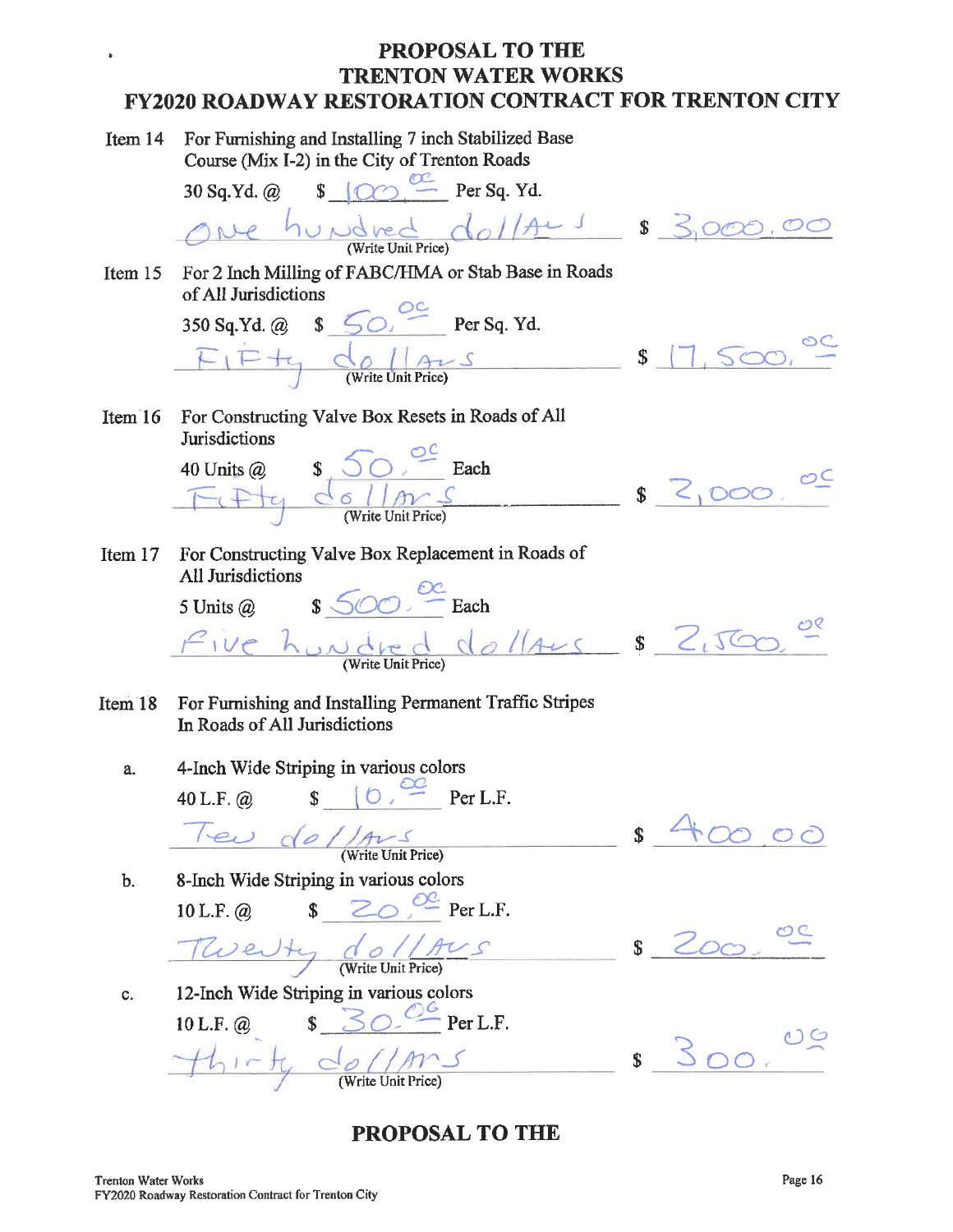For Furnishing and Installing 7 inch Stabilized Base Item 14 Course (Mix I-2) in the City of Trenton Roads

 $\bullet$ 

30 Sq.Yd. @  $\bullet$   $\circ$   $\circ$  Per Sq. Yd. One hundred dallars \$ 3,000.00 For 2 Inch Milling of FABC/HMA or Stab Base in Roads Item  $15$ of All Jurisdictions 350 Sq.Yd. @  $\frac{50}{50}$  Per Sq. Yd.  $FIFf$  de llars \$ 17,500, ° For Constructing Valve Box Resets in Roads of All Item  $16$ **Jurisdictions** 40 Units @  $\begin{array}{ccc} 1 & \sqrt{2} & \text{Each} \\ \hline \sqrt{2} & \sqrt{2} & \text{Each} \\ \hline \sqrt{2} & \sqrt{2} & \text{(Write Unit Price)} \end{array}$ \$ 2,000,00 For Constructing Valve Box Replacement in Roads of Item  $17$ All Jurisdictions 5 Units @  $\qquad$   $\sqrt[6]{00}$   $\frac{ex}{2}$  Each Pive hundred do laus \$ 2,500 For Furnishing and Installing Permanent Traffic Stripes Item 18 In Roads of All Jurisdictions 4-Inch Wide Striping in various colors a.  $\sqrt{\frac{2C}{\sqrt{C}}}$  Per L.F. 40 L.F.  $@$ Teu de //Aus (Write Unit Price) 200  $\mathbf{\$}$ 

8-Inch Wide Striping in various colors  $\mathbf{b}$ . 10 L.F. @  $\qquad$   $\qquad$   $\qquad$   $\qquad$   $\qquad$   $\qquad$   $\qquad$   $\qquad$   $\qquad$   $\qquad$   $\qquad$   $\qquad$   $\qquad$   $\qquad$   $\qquad$   $\qquad$   $\qquad$   $\qquad$   $\qquad$   $\qquad$   $\qquad$   $\qquad$   $\qquad$   $\qquad$   $\qquad$   $\qquad$   $\qquad$   $\qquad$   $\qquad$   $\qquad$   $\qquad$   $\qquad$   $\qquad$   $\qquad$   $\qquad$ 

Twenty do / Aus

c.

12-Inch Wide Striping in various colors

10 L.F. @  $$\mathcal{S}\circ\mathcal{O} \xrightarrow{\mathcal{O}6} \text{Per L.F.}}$  $-$ thirty dellars

 $s$  200

 $300.00$ 

**PROPOSAL TO THE** 

 $\frac{1}{2}$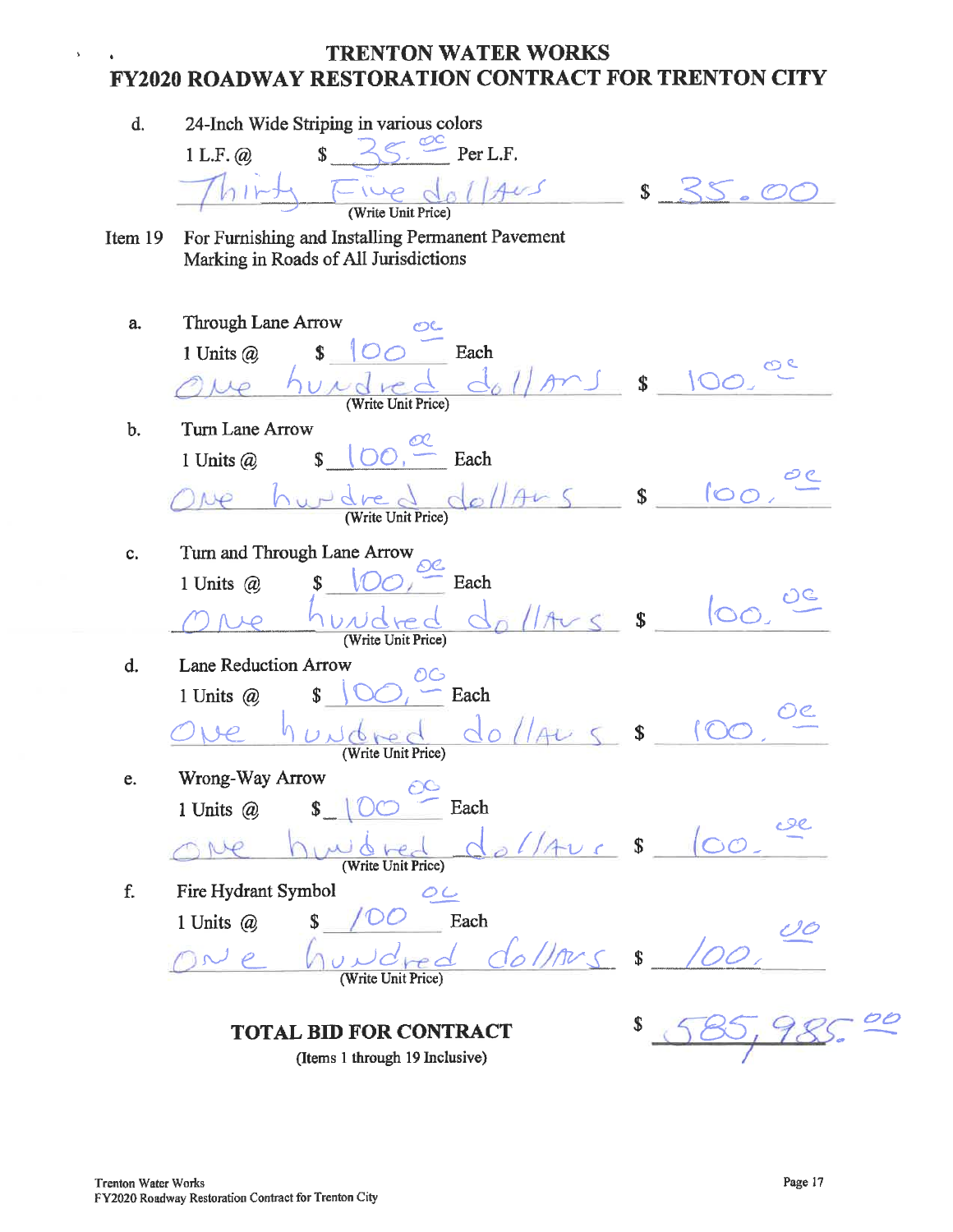#### TRENTON WATER WORKS  $\bullet$ FY2020 ROADWAY RESTORATION CONTRACT FOR TRENTON CITY

| d.      | 24-Inch Wide Striping in various colors                                                   |                           |              |
|---------|-------------------------------------------------------------------------------------------|---------------------------|--------------|
|         | $\overline{\mathbb{S}}$<br>Per L.F.<br>1 L.F. $\omega$                                    |                           |              |
|         | $T_{1}u$<br>AvS                                                                           | $\mathbb{S}$              | $\circ$      |
|         | (Write Unit Price)                                                                        |                           |              |
| Item 19 | For Furnishing and Installing Permanent Pavement<br>Marking in Roads of All Jurisdictions |                           |              |
|         |                                                                                           |                           |              |
| a.      | <b>Through Lane Arrow</b>                                                                 |                           |              |
|         | Each<br>1 Units $\omega$<br>\$<br>100                                                     |                           |              |
|         | volved<br>$\overline{2}$                                                                  | $\mathbf{s}$              |              |
|         | (Write Unit Price)                                                                        |                           |              |
| b.      | Turn Lane Arrow<br>Each<br>\$                                                             |                           |              |
|         | 1 Units $@$                                                                               |                           |              |
|         | $o$ llAn<br>$5 - 5$<br>(Write Unit Price)                                                 |                           | 100.         |
|         |                                                                                           |                           |              |
| c.      | Turn and Through Lane Arrow<br>Each<br>1 Units @                                          |                           |              |
|         |                                                                                           |                           | $ 00\rangle$ |
|         | UNICHEC<br>(Write Unit Price)                                                             | $\mathbf{s}$              |              |
| d.      | Lane Reduction Arrow<br>OG                                                                |                           |              |
|         | Each<br>\$<br>1 Units @                                                                   |                           |              |
|         | Jabc                                                                                      | $\boldsymbol{\mathsf{S}}$ |              |
|         | (Write Unit Price)                                                                        |                           |              |
| e.      | Wrong-Way Arrow<br>$\epsilon$ y<br>1 Units @ \$   00<br>Each                              |                           |              |
|         |                                                                                           |                           |              |
|         | (Write Unit Price)                                                                        | $\sqrt{5}$                |              |
| f.      | Fire Hydrant Symbol<br>OC                                                                 |                           |              |
|         | Each<br>1 Units @<br>\$                                                                   |                           |              |
|         |                                                                                           | \$                        |              |
|         | (Write Unit Price)                                                                        |                           |              |
|         | <b>TOTAL BID FOR CONTRACT</b>                                                             |                           |              |
|         | (Items 1 through 19 Inclusive)                                                            |                           |              |

 $\bar{\mathbf{r}}$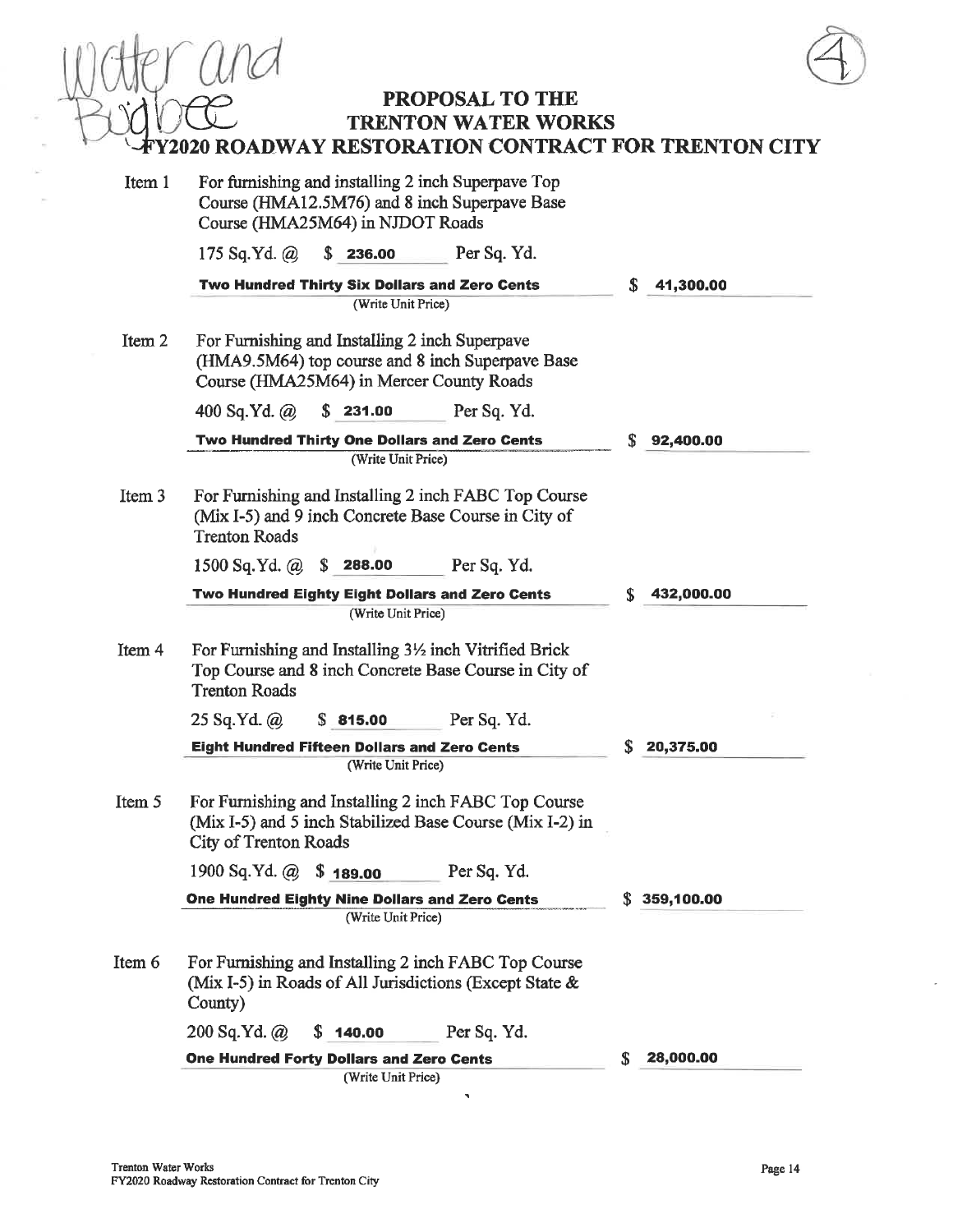PROPOSAL TO THE

## **TRENTON WATER WORKS Y2020 ROADWAY RESTORATION CONTRACT FOR TRENTON CITY**

| Item 1 | For furnishing and installing 2 inch Superpave Top<br>Course (HMA12.5M76) and 8 inch Superpave Base<br>Course (HMA25M64) in NJDOT Roads        |                  |                 |
|--------|------------------------------------------------------------------------------------------------------------------------------------------------|------------------|-----------------|
|        | 175 Sq.Yd. $\omega$<br>\$236.00                                                                                                                | Per Sq. Yd.      |                 |
|        | Two Hundred Thirty Six Dollars and Zero Cents                                                                                                  |                  | \$<br>41,300.00 |
|        | (Write Unit Price)                                                                                                                             |                  |                 |
| Item 2 | For Furnishing and Installing 2 inch Superpave<br>(HMA9.5M64) top course and 8 inch Superpave Base<br>Course (HMA25M64) in Mercer County Roads |                  |                 |
|        | 400 Sq.Yd. $\omega$<br>S.<br>231.00                                                                                                            | Per Sq. Yd.      |                 |
|        | Two Hundred Thirty One Dollars and Zero Cents                                                                                                  |                  | S<br>92,400.00  |
|        | (Write Unit Price)                                                                                                                             |                  |                 |
| Item 3 | For Furnishing and Installing 2 inch FABC Top Course<br>(Mix I-5) and 9 inch Concrete Base Course in City of<br><b>Trenton Roads</b>           |                  |                 |
|        | 1500 Sq.Yd. $\omega$ \$ 288.00                                                                                                                 | Per Sq. Yd.      |                 |
|        | Two Hundred Eighty Eight Dollars and Zero Cents                                                                                                |                  | S<br>432,000.00 |
|        | (Write Unit Price)                                                                                                                             |                  |                 |
| Item 4 | For Furnishing and Installing 3½ inch Vitrified Brick<br>Top Course and 8 inch Concrete Base Course in City of<br><b>Trenton Roads</b>         |                  |                 |
|        | 25 Sq.Yd. @<br>\$815.00                                                                                                                        | Per Sq. Yd.      |                 |
|        | <b>Eight Hundred Fifteen Dollars and Zero Cents</b>                                                                                            |                  | 20,375.00       |
|        | (Write Unit Price)                                                                                                                             |                  |                 |
| Item 5 | For Furnishing and Installing 2 inch FABC Top Course<br>(Mix I-5) and 5 inch Stabilized Base Course (Mix I-2) in<br>City of Trenton Roads      |                  |                 |
|        | 1900 Sq.Yd. @ \$189.00                                                                                                                         | Per Sq. Yd.      |                 |
|        | One Hundred Eighty Nine Dollars and Zero Cents                                                                                                 | S.<br>359,100.00 |                 |
|        | (Write Unit Price)                                                                                                                             |                  |                 |
| Item 6 | For Furnishing and Installing 2 inch FABC Top Course<br>(Mix I-5) in Roads of All Jurisdictions (Except State &<br>County)                     |                  |                 |
|        | $200$ Sq.Yd. $\omega$<br>\$140.00                                                                                                              | Per Sq. Yd.      |                 |
|        | <b>One Hundred Forty Dollars and Zero Cents</b>                                                                                                | 28,000.00<br>S   |                 |
|        | (Write Unit Price)                                                                                                                             |                  |                 |

 $\tilde{\mathcal{A}}$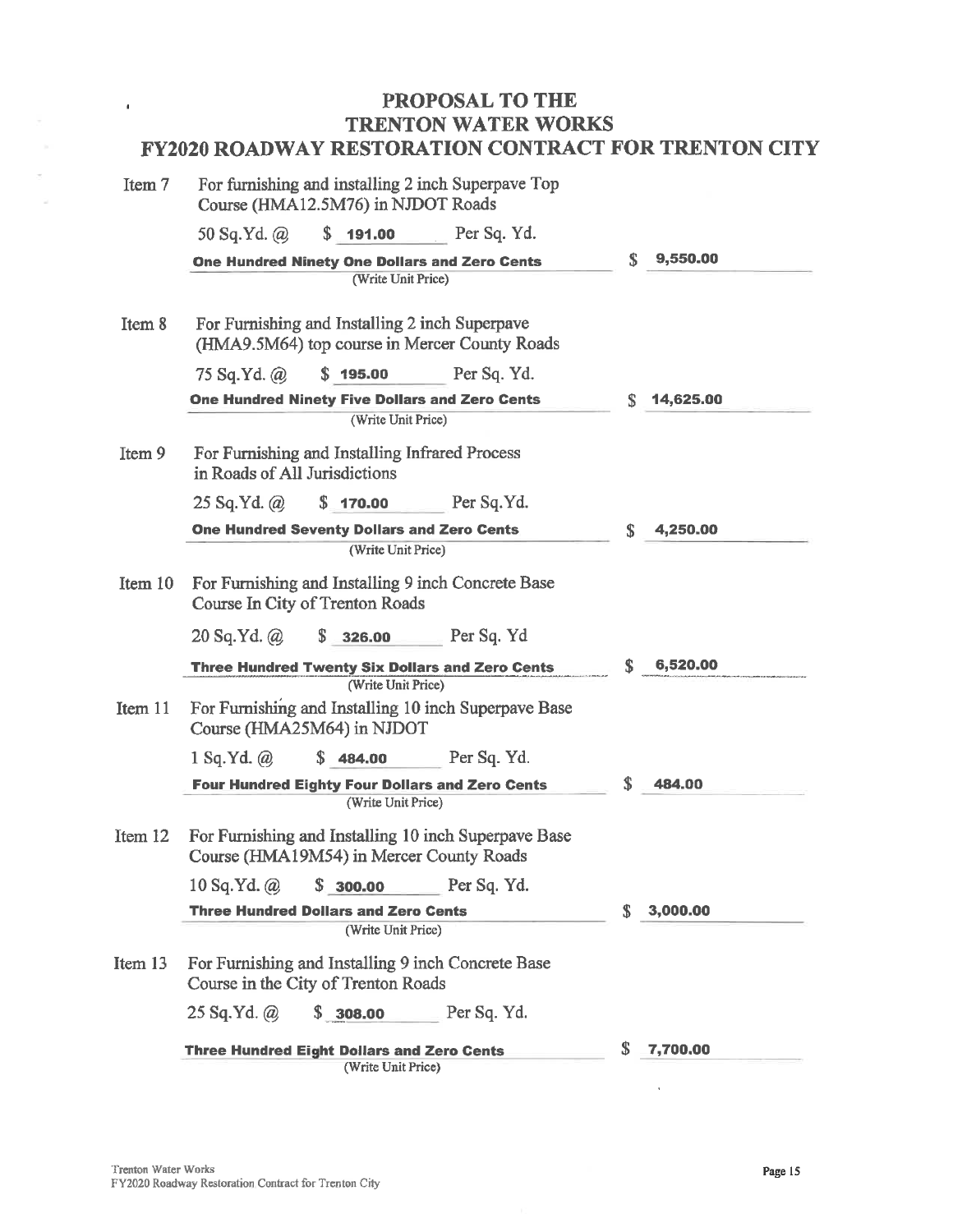| Item 7  | For furnishing and installing 2 inch Superpaye Top<br>Course (HMA12.5M76) in NJDOT Roads         |    |           |
|---------|--------------------------------------------------------------------------------------------------|----|-----------|
|         | 50 Sq.Yd. @<br>\$191.00<br>Per Sq. Yd.                                                           |    |           |
|         | One Hundred Ninety One Dollars and Zero Cents<br>(Write Unit Price)                              | \$ | 9,550.00  |
| Item 8  | For Furnishing and Installing 2 inch Superpave<br>(HMA9.5M64) top course in Mercer County Roads  |    |           |
|         | 75 Sq.Yd. $\omega$<br>\$195.00<br>Per Sq. Yd.                                                    |    |           |
|         | <b>One Hundred Ninety Five Dollars and Zero Cents</b>                                            | S  | 14,625.00 |
|         | (Write Unit Price)                                                                               |    |           |
| Item 9  | For Furnishing and Installing Infrared Process<br>in Roads of All Jurisdictions                  |    |           |
|         | \$170.00 Per Sq. Yd.<br>$25$ Sq.Yd. $\omega$                                                     |    |           |
|         | <b>One Hundred Seventy Dollars and Zero Cents</b>                                                | S  | 4.250.00  |
|         | (Write Unit Price)                                                                               |    |           |
| Item 10 | For Furnishing and Installing 9 inch Concrete Base<br>Course In City of Trenton Roads            |    |           |
|         | Per Sq. Yd<br>20 Sq.Yd. @<br>S<br>326.00                                                         |    |           |
|         | <b>Three Hundred Twenty Six Dollars and Zero Cents</b><br>(Write Unit Price)                     | S. | 6,520.00  |
| Item 11 | For Furnishing and Installing 10 inch Superpave Base<br>Course (HMA25M64) in NJDOT               |    |           |
|         | \$484.00<br>Per Sq. Yd.<br>$1$ Sq.Yd. $\omega$                                                   |    |           |
|         | <b>Four Hundred Eighty Four Dollars and Zero Cents</b>                                           | \$ | 484.00    |
|         | (Write Unit Price)                                                                               |    |           |
| Item 12 | For Furnishing and Installing 10 inch Superpave Base<br>Course (HMA19M54) in Mercer County Roads |    |           |
|         | 10 Sq.Yd. @<br>\$300.00<br><b>Example 1</b> Per Sq. Yd.                                          |    |           |
|         | <b>Three Hundred Dollars and Zero Cents</b>                                                      | S. | 3,000.00  |
|         | (Write Unit Price)                                                                               |    |           |
| Item 13 | For Furnishing and Installing 9 inch Concrete Base<br>Course in the City of Trenton Roads        |    |           |
|         | \$308.00<br>$25$ Sq.Yd. $\omega$<br>Per Sq. Yd.                                                  |    |           |
|         | <b>Three Hundred Eight Dollars and Zero Cents</b><br>(Write Unit Price)                          | S  | 7,700.00  |

 $\blacksquare$ 

 $\ddot{\phantom{a}}$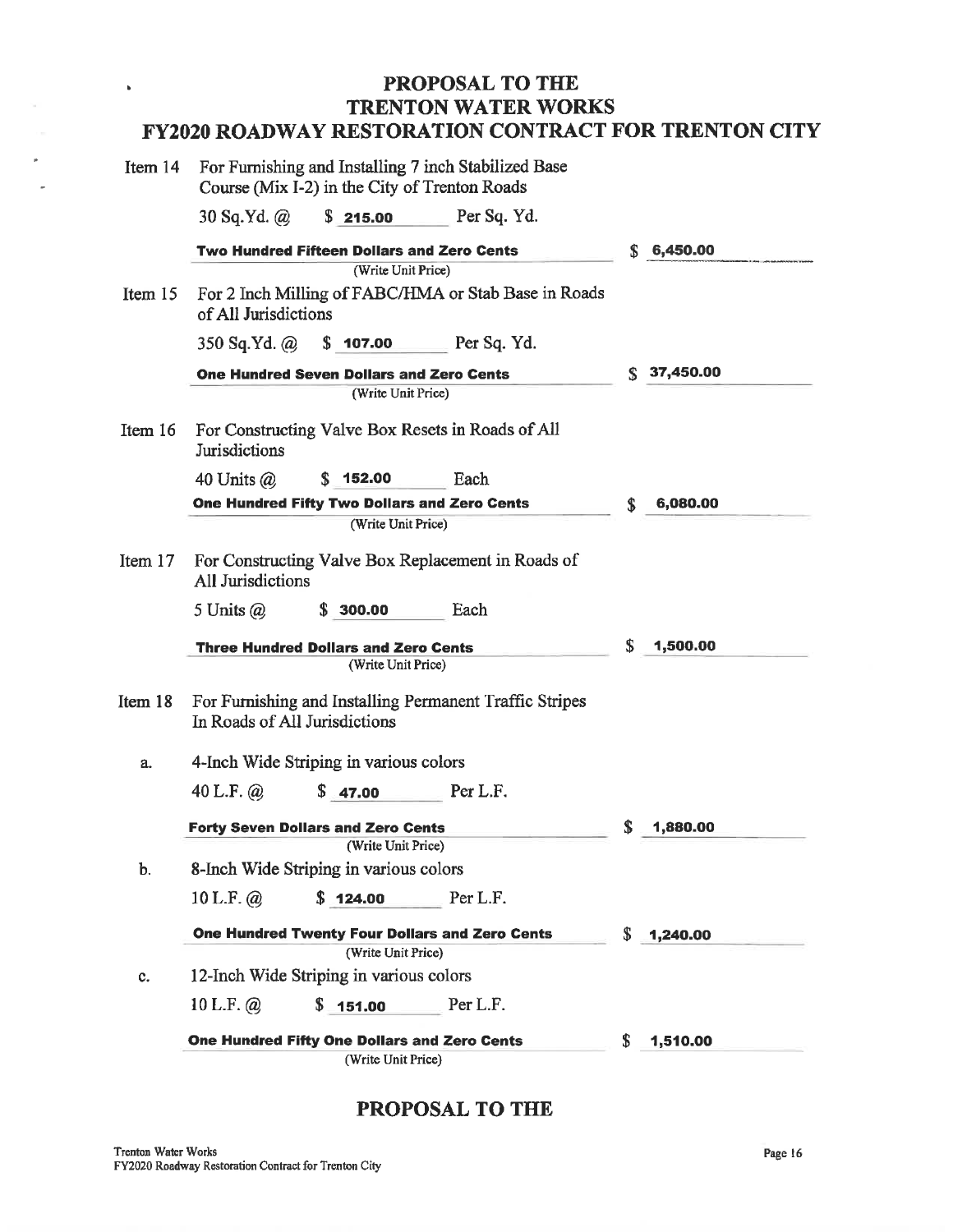| Item 14 | For Furnishing and Installing 7 inch Stabilized Base<br>Course (Mix I-2) in the City of Trenton Roads |                                                     |                                                         |    |           |
|---------|-------------------------------------------------------------------------------------------------------|-----------------------------------------------------|---------------------------------------------------------|----|-----------|
|         | $30$ Sq.Yd. $\omega$                                                                                  | \$215.00                                            | Per Sq. Yd.                                             |    |           |
|         |                                                                                                       | <b>Two Hundred Fifteen Dollars and Zero Cents</b>   |                                                         | S  | 6,450.00  |
|         |                                                                                                       | (Write Unit Price)                                  |                                                         |    |           |
| Item 15 | of All Jurisdictions                                                                                  |                                                     | For 2 Inch Milling of FABC/HMA or Stab Base in Roads    |    |           |
|         | 350 Sq.Yd. @                                                                                          | \$107.00                                            | Per Sq. Yd.                                             |    |           |
|         |                                                                                                       | <b>One Hundred Seven Dollars and Zero Cents</b>     |                                                         | S. | 37,450.00 |
|         |                                                                                                       | (Write Unit Price)                                  |                                                         |    |           |
| Item 16 | Jurisdictions                                                                                         |                                                     | For Constructing Valve Box Resets in Roads of All       |    |           |
|         | 40 Units $\omega$                                                                                     | \$152.00                                            | Each                                                    |    |           |
|         |                                                                                                       | <b>One Hundred Fifty Two Dollars and Zero Cents</b> |                                                         | \$ | 6,080.00  |
|         |                                                                                                       | (Write Unit Price)                                  |                                                         |    |           |
| Item 17 | All Jurisdictions                                                                                     |                                                     | For Constructing Valve Box Replacement in Roads of      |    |           |
|         | 5 Units $\omega$                                                                                      | \$300.00                                            | Each                                                    |    |           |
|         |                                                                                                       | <b>Three Hundred Dollars and Zero Cents</b>         |                                                         | \$ | 1,500.00  |
|         |                                                                                                       | (Write Unit Price)                                  |                                                         |    |           |
| Item 18 |                                                                                                       | In Roads of All Jurisdictions                       | For Furnishing and Installing Permanent Traffic Stripes |    |           |
| a.      |                                                                                                       | 4-Inch Wide Striping in various colors              |                                                         |    |           |
|         | 40 L.F. $\omega$                                                                                      | \$47.00                                             | Per L.F.                                                |    |           |
|         |                                                                                                       | <b>Forty Seven Dollars and Zero Cents</b>           |                                                         | S  | 1,880.00  |
|         |                                                                                                       | (Write Unit Price)                                  |                                                         |    |           |
| b.      |                                                                                                       | 8-Inch Wide Striping in various colors              |                                                         |    |           |
|         | 10 L.F. $\omega$                                                                                      | \$124.00                                            | Per L.F.                                                |    |           |
|         |                                                                                                       |                                                     | One Hundred Twenty Four Dollars and Zero Cents          | S. | 1,240.00  |
|         |                                                                                                       | (Write Unit Price)                                  |                                                         |    |           |
| c.      |                                                                                                       | 12-Inch Wide Striping in various colors             |                                                         |    |           |
|         | 10 L.F. $\omega$                                                                                      | \$151.00                                            | Per L.F.                                                |    |           |
|         |                                                                                                       | One Hundred Fifty One Dollars and Zero Cents        |                                                         | S  | 1,510.00  |
|         |                                                                                                       | (Write Unit Price)                                  |                                                         |    |           |

## PROPOSAL TO THE

 $\hat{\mathbf{b}}$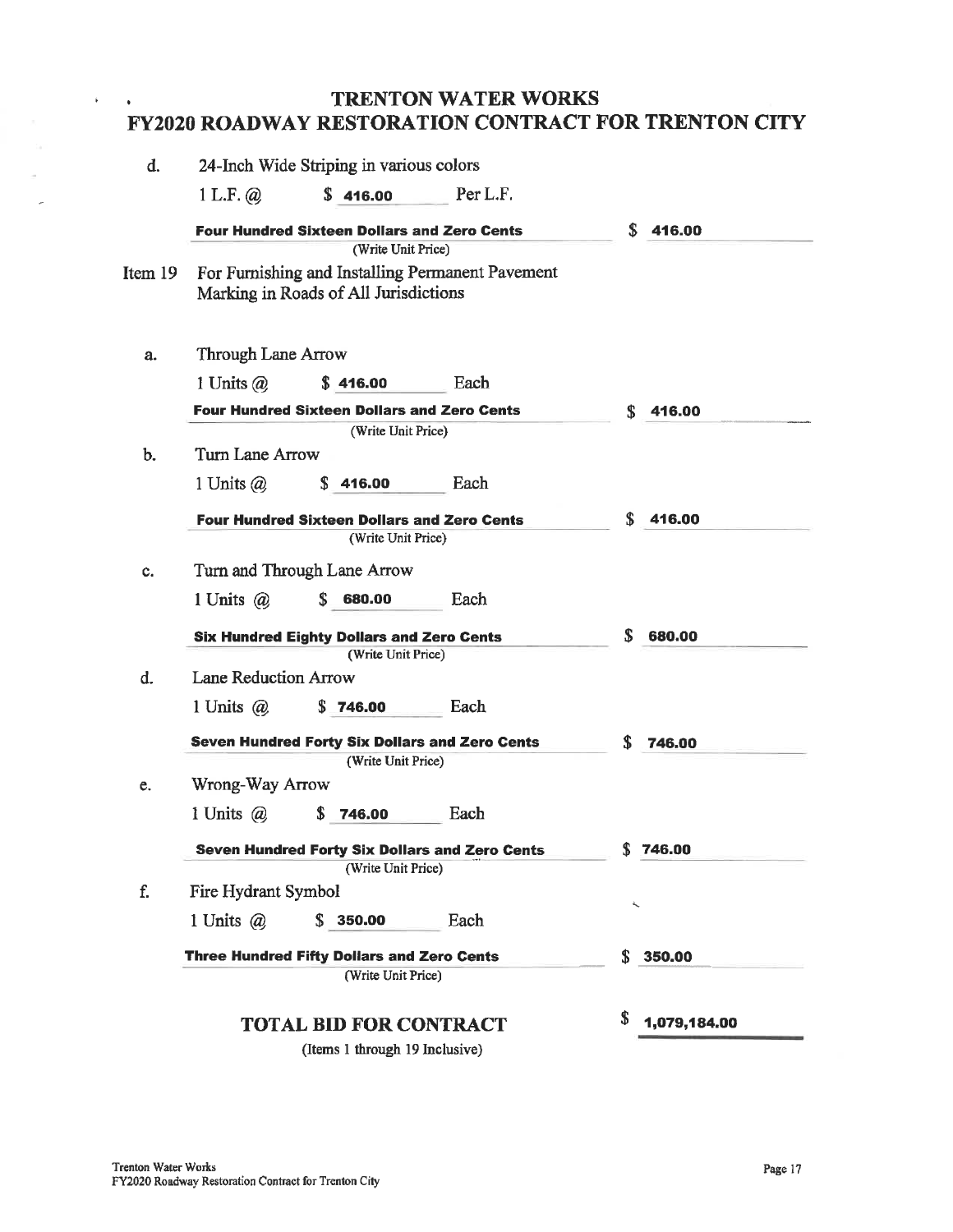#### **TRENTON WATER WORKS**  $\bullet$ **FY2020 ROADWAY RESTORATION CONTRACT FOR TRENTON CITY**

| d.                 |                             | 24-Inch Wide Striping in various colors               |                                                  |                    |
|--------------------|-----------------------------|-------------------------------------------------------|--------------------------------------------------|--------------------|
|                    | 1 L.F. @.                   | \$416.00                                              | Per L.F.                                         |                    |
|                    |                             | <b>Four Hundred Sixteen Dollars and Zero Cents</b>    |                                                  | S<br>416.00        |
|                    |                             | (Write Unit Price)                                    |                                                  |                    |
| Item 19            |                             |                                                       | For Furnishing and Installing Permanent Pavement |                    |
|                    |                             | Marking in Roads of All Jurisdictions                 |                                                  |                    |
|                    |                             |                                                       |                                                  |                    |
| a.                 | <b>Through Lane Arrow</b>   |                                                       |                                                  |                    |
|                    | 1 Units $\omega$            | \$416.00                                              | Each                                             |                    |
|                    |                             | <b>Four Hundred Sixteen Dollars and Zero Cents</b>    |                                                  | \$<br>416.00       |
| b.                 | Turn Lane Arrow             | (Write Unit Price)                                    |                                                  |                    |
|                    |                             | S<br>416.00                                           | Each                                             |                    |
|                    | 1 Units $\omega$            |                                                       |                                                  |                    |
|                    |                             | <b>Four Hundred Sixteen Dollars and Zero Cents</b>    |                                                  | S<br>416.00        |
|                    |                             | (Write Unit Price)                                    |                                                  |                    |
| c.                 |                             | Turn and Through Lane Arrow                           |                                                  |                    |
|                    | 1 Units $\omega$            | 680.00                                                | Each                                             |                    |
|                    |                             | <b>Six Hundred Eighty Dollars and Zero Cents</b>      |                                                  | S<br>680.00        |
|                    |                             | (Write Unit Price)                                    |                                                  |                    |
| d.                 | <b>Lane Reduction Arrow</b> |                                                       |                                                  |                    |
|                    | 1 Units $(a)$               | S<br>746.00                                           | Each                                             |                    |
|                    |                             | <b>Seven Hundred Forty Six Dollars and Zero Cents</b> |                                                  | S<br>746.00        |
|                    |                             | (Write Unit Price)                                    |                                                  |                    |
| e.                 | Wrong-Way Arrow             |                                                       |                                                  |                    |
|                    | 1 Units $(a)$               | \$<br>746.00                                          | Each                                             |                    |
|                    |                             | Seven Hundred Forty Six Dollars and Zero Cents        |                                                  | \$746.00           |
|                    |                             | (Write Unit Price)                                    |                                                  |                    |
| f.                 | Fire Hydrant Symbol         |                                                       |                                                  | ۸                  |
|                    | 1 Units $\omega$            | \$350.00                                              | Each                                             |                    |
|                    |                             | <b>Three Hundred Fifty Dollars and Zero Cents</b>     |                                                  | \$<br>350.00       |
| (Write Unit Price) |                             |                                                       |                                                  |                    |
|                    |                             |                                                       |                                                  | \$<br>1,079,184.00 |
|                    |                             | <b>TOTAL BID FOR CONTRACT</b>                         |                                                  |                    |

(Items 1 through 19 Inclusive)

 $\hat{\mathbf{r}}$